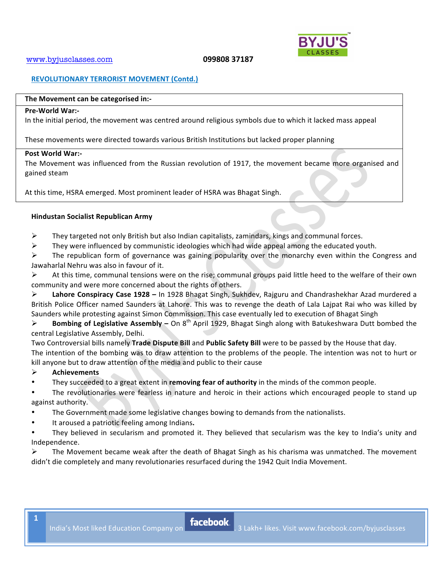

# **REVOLUTIONARY TERRORIST MOVEMENT (Contd.)**

#### The Movement can be categorised in:-

#### **Pre-World War:-**

In the initial period, the movement was centred around religious symbols due to which it lacked mass appeal

These movements were directed towards various British Institutions but lacked proper planning

#### **Post World War:-**

The Movement was influenced from the Russian revolution of 1917, the movement became more organised and gained steam

At this time, HSRA emerged. Most prominent leader of HSRA was Bhagat Singh.

# **Hindustan!Socialist!Republican!Army**

- $\triangleright$  They targeted not only British but also Indian capitalists, zamindars, kings and communal forces.
- $\triangleright$  They were influenced by communistic ideologies which had wide appeal among the educated youth.

 $\triangleright$  The republican form of governance was gaining popularity over the monarchy even within the Congress and Jawaharlal Nehru was also in favour of it.

 $\triangleright$  At this time, communal tensions were on the rise; communal groups paid little heed to the welfare of their own community and were more concerned about the rights of others.

<sup>2</sup> Lahore Conspiracy Case 1928 – In 1928 Bhagat Singh, Sukhdev, Rajguru and Chandrashekhar Azad murdered a British Police Officer named Saunders at Lahore. This was to revenge the death of Lala Lajpat Rai who was killed by Saunders while protesting against Simon Commission. This case eventually led to execution of Bhagat Singh

**Exambing of Legislative Assembly –** On 8<sup>th</sup> April 1929, Bhagat Singh along with Batukeshwara Dutt bombed the central Legislative Assembly, Delhi.

Two Controversial bills namely **Trade Dispute Bill** and **Public Safety Bill** were to be passed by the House that day. The intention of the bombing was to draw attention to the problems of the people. The intention was not to hurt or kill anyone but to draw attention of the media and public to their cause

# ! **Achievements**

**1**

They succeeded to a great extent in **removing fear of authority** in the minds of the common people.

The revolutionaries were fearless in nature and heroic in their actions which encouraged people to stand up against authority.

- The Government made some legislative changes bowing to demands from the nationalists.
- It aroused a patriotic feeling among Indians.

They believed in secularism and promoted it. They believed that secularism was the key to India's unity and Independence.

 $\triangleright$  The Movement became weak after the death of Bhagat Singh as his charisma was unmatched. The movement didn't die completely and many revolutionaries resurfaced during the 1942 Quit India Movement.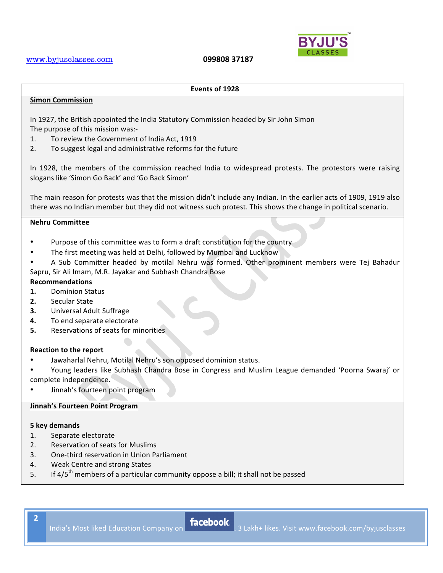

#### **Events!of!1928**

#### **Simon!Commission**

In 1927, the British appointed the India Statutory Commission headed by Sir John Simon The purpose of this mission was:-

- 1. To review the Government of India Act, 1919
- 2. To suggest legal and administrative reforms for the future

In 1928, the members of the commission reached India to widespread protests. The protestors were raising slogans like 'Simon Go Back' and 'Go Back Simon'

The main reason for protests was that the mission didn't include any Indian. In the earlier acts of 1909, 1919 also there was no Indian member but they did not witness such protest. This shows the change in political scenario.

# **Nehru!Committee**

- Purpose of this committee was to form a draft constitution for the country
- The first meeting was held at Delhi, followed by Mumbai and Lucknow
- A Sub Committer headed by motilal Nehru was formed. Other prominent members were Tej Bahadur Sapru, Sir Ali Imam, M.R. Jayakar and Subhash Chandra Bose

# **Recommendations**

- **1.** Dominion Status
- **2.** Secular State
- **3.** Universal Adult Suffrage
- **4.** To end separate electorate
- **5.** Reservations of seats for minorities

#### **Reaction to the report**

- Jawaharlal Nehru, Motilal Nehru's son opposed dominion status.
- Young leaders like Subhash Chandra Bose in Congress and Muslim League demanded 'Poorna Swaraj' or complete independence.
- Jinnah's fourteen point program

# **Jinnah's Fourteen Point Program**

#### **5!key!demands**

- 1. Separate electorate
- 2. Reservation of seats for Muslims
- 3. One-third reservation in Union Parliament
- 4. Weak Centre and strong States
- 5. If  $4/5<sup>th</sup>$  members of a particular community oppose a bill; it shall not be passed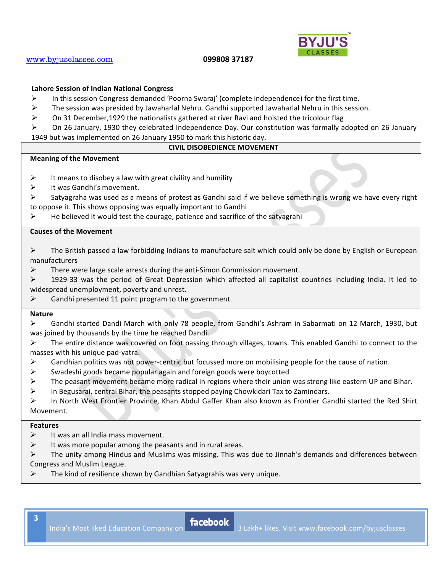

# 099808 37187

# **Lahore Session of Indian National Congress**

- $\blacktriangleright$ In this session Congress demanded 'Poorna Swaraj' (complete independence) for the first time.
- $\blacktriangleright$ The session was presided by Jawaharlal Nehru. Gandhi supported Jawaharlal Nehru in this session.
- $\blacktriangleright$ On 31 December, 1929 the nationalists gathered at river Ravi and hoisted the tricolour flag

 $\blacktriangleright$ On 26 January, 1930 they celebrated Independence Day. Our constitution was formally adopted on 26 January 1949 but was implemented on 26 January 1950 to mark this historic day.

# **CIVIL DISOBEDIENCE MOVEMENT**

#### **Meaning of the Movement**

- $\blacktriangleright$ It means to disobey a law with great civility and humility
- It was Gandhi's movement.  $\blacktriangleright$
- Satyagraha was used as a means of protest as Gandhi said if we believe something is wrong we have every right  $\blacktriangleright$ to oppose it. This shows opposing was equally important to Gandhi
- $\blacktriangleright$ He believed it would test the courage, patience and sacrifice of the satyagrahi

# **Causes of the Movement**

 $\blacktriangleright$ The British passed a law forbidding Indians to manufacture salt which could only be done by English or European manufacturers

 $\blacktriangleright$ There were large scale arrests during the anti-Simon Commission movement.

1929-33 was the period of Great Depression which affected all capitalist countries including India. It led to  $\blacktriangleright$ widespread unemployment, poverty and unrest.

Gandhi presented 11 point program to the government.  $\blacktriangleright$ 

# **Nature**

 $\blacktriangleright$ Gandhi started Dandi March with only 78 people, from Gandhi's Ashram in Sabarmati on 12 March, 1930, but was joined by thousands by the time he reached Dandi.

- $\blacktriangleright$ The entire distance was covered on foot passing through villages, towns. This enabled Gandhi to connect to the masses with his unique pad-vatra.
- $\triangleright$ Gandhian politics was not power-centric but focussed more on mobilising people for the cause of nation.
- ↘ Swadeshi goods became popular again and foreign goods were boycotted
- The peasant movement became more radical in regions where their union was strong like eastern UP and Bihar. ↘
- ➤ In Begusarai, central Bihar, the peasants stopped paying Chowkidari Tax to Zamindars.

↘ In North West Frontier Province, Khan Abdul Gaffer Khan also known as Frontier Gandhi started the Red Shirt Movement.

#### **Features**

- It was an all India mass movement. ➤
- $\blacktriangleright$ It was more popular among the peasants and in rural areas.
- $\blacktriangleright$ The unity among Hindus and Muslims was missing. This was due to Jinnah's demands and differences between Congress and Muslim League.
- The kind of resilience shown by Gandhian Satyagrahis was very unique.  $\blacktriangleright$